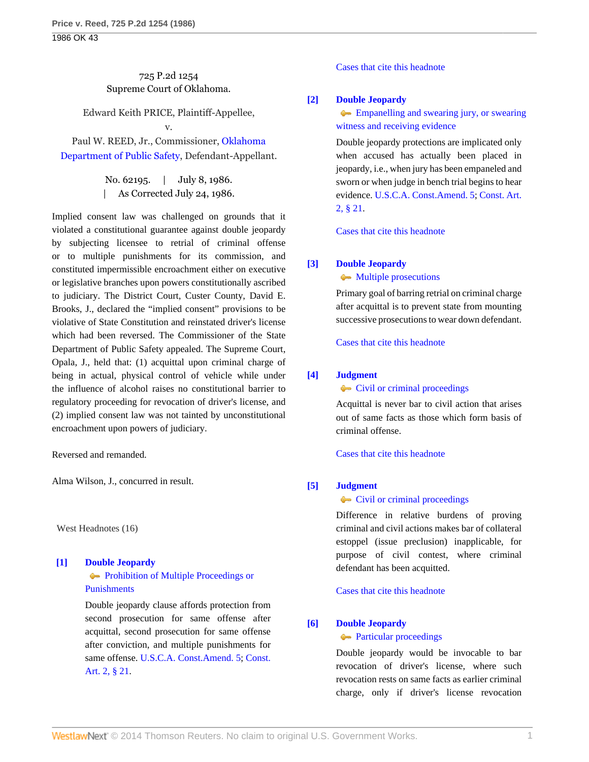# 725 P.2d 1254 Supreme Court of Oklahoma.

Edward Keith PRICE, Plaintiff-Appellee, v.

Paul W. REED, Jr., Commissioner, [Oklahoma](http://www.westlaw.com/Search/Results.html?query=advanced%3a+OAID(5026608623)&saveJuris=False&contentType=BUSINESS-INVESTIGATOR&startIndex=1&contextData=(sc.Default)&categoryPageUrl=Home%2fCompanyInvestigator&originationContext=document&vr=3.0&rs=cblt1.0&transitionType=DocumentItem) [Department of Public Safety](http://www.westlaw.com/Search/Results.html?query=advanced%3a+OAID(5026608623)&saveJuris=False&contentType=BUSINESS-INVESTIGATOR&startIndex=1&contextData=(sc.Default)&categoryPageUrl=Home%2fCompanyInvestigator&originationContext=document&vr=3.0&rs=cblt1.0&transitionType=DocumentItem), Defendant-Appellant.

> No. 62195. | July 8, 1986. | As Corrected July 24, 1986.

Implied consent law was challenged on grounds that it violated a constitutional guarantee against double jeopardy by subjecting licensee to retrial of criminal offense or to multiple punishments for its commission, and constituted impermissible encroachment either on executive or legislative branches upon powers constitutionally ascribed to judiciary. The District Court, Custer County, David E. Brooks, J., declared the "implied consent" provisions to be violative of State Constitution and reinstated driver's license which had been reversed. The Commissioner of the State Department of Public Safety appealed. The Supreme Court, Opala, J., held that: (1) acquittal upon criminal charge of being in actual, physical control of vehicle while under the influence of alcohol raises no constitutional barrier to regulatory proceeding for revocation of driver's license, and (2) implied consent law was not tainted by unconstitutional encroachment upon powers of judiciary.

Reversed and remanded.

Alma Wilson, J., concurred in result.

West Headnotes (16)

# <span id="page-0-0"></span>**[\[1\]](#page-3-0) [Double Jeopardy](http://www.westlaw.com/Browse/Home/KeyNumber/135H/View.html?docGuid=I06512713f3a711d99439b076ef9ec4de&originationContext=document&vr=3.0&rs=cblt1.0&transitionType=DocumentItem&contextData=(sc.Search)) [Prohibition of Multiple Proceedings or](http://www.westlaw.com/Browse/Home/KeyNumber/135Hk5/View.html?docGuid=I06512713f3a711d99439b076ef9ec4de&originationContext=document&vr=3.0&rs=cblt1.0&transitionType=DocumentItem&contextData=(sc.Search))** [Punishments](http://www.westlaw.com/Browse/Home/KeyNumber/135Hk5/View.html?docGuid=I06512713f3a711d99439b076ef9ec4de&originationContext=document&vr=3.0&rs=cblt1.0&transitionType=DocumentItem&contextData=(sc.Search))

Double jeopardy clause affords protection from second prosecution for same offense after acquittal, second prosecution for same offense after conviction, and multiple punishments for same offense. [U.S.C.A. Const.Amend. 5](http://www.westlaw.com/Link/Document/FullText?findType=L&pubNum=1000546&cite=USCOAMENDV&originatingDoc=I06512713f3a711d99439b076ef9ec4de&refType=LQ&originationContext=document&vr=3.0&rs=cblt1.0&transitionType=DocumentItem&contextData=(sc.Search)); [Const.](http://www.westlaw.com/Link/Document/FullText?findType=L&pubNum=1000165&cite=OKCNART2S21&originatingDoc=I06512713f3a711d99439b076ef9ec4de&refType=LQ&originationContext=document&vr=3.0&rs=cblt1.0&transitionType=DocumentItem&contextData=(sc.Search)) [Art. 2, § 21](http://www.westlaw.com/Link/Document/FullText?findType=L&pubNum=1000165&cite=OKCNART2S21&originatingDoc=I06512713f3a711d99439b076ef9ec4de&refType=LQ&originationContext=document&vr=3.0&rs=cblt1.0&transitionType=DocumentItem&contextData=(sc.Search)).

[Cases that cite this headnote](http://www.westlaw.com/Link/RelatedInformation/DocHeadnoteLink?docGuid=I06512713f3a711d99439b076ef9ec4de&headnoteId=198613588500120131020172854&originationContext=document&vr=3.0&rs=cblt1.0&transitionType=CitingReferences&contextData=(sc.Search))

# <span id="page-0-1"></span>**[\[2\]](#page-3-1) [Double Jeopardy](http://www.westlaw.com/Browse/Home/KeyNumber/135H/View.html?docGuid=I06512713f3a711d99439b076ef9ec4de&originationContext=document&vr=3.0&rs=cblt1.0&transitionType=DocumentItem&contextData=(sc.Search))**

**[Empanelling and swearing jury, or swearing](http://www.westlaw.com/Browse/Home/KeyNumber/135Hk59/View.html?docGuid=I06512713f3a711d99439b076ef9ec4de&originationContext=document&vr=3.0&rs=cblt1.0&transitionType=DocumentItem&contextData=(sc.Search))** [witness and receiving evidence](http://www.westlaw.com/Browse/Home/KeyNumber/135Hk59/View.html?docGuid=I06512713f3a711d99439b076ef9ec4de&originationContext=document&vr=3.0&rs=cblt1.0&transitionType=DocumentItem&contextData=(sc.Search))

Double jeopardy protections are implicated only when accused has actually been placed in jeopardy, i.e., when jury has been empaneled and sworn or when judge in bench trial begins to hear evidence. [U.S.C.A. Const.Amend. 5;](http://www.westlaw.com/Link/Document/FullText?findType=L&pubNum=1000546&cite=USCOAMENDV&originatingDoc=I06512713f3a711d99439b076ef9ec4de&refType=LQ&originationContext=document&vr=3.0&rs=cblt1.0&transitionType=DocumentItem&contextData=(sc.Search)) [Const. Art.](http://www.westlaw.com/Link/Document/FullText?findType=L&pubNum=1000165&cite=OKCNART2S21&originatingDoc=I06512713f3a711d99439b076ef9ec4de&refType=LQ&originationContext=document&vr=3.0&rs=cblt1.0&transitionType=DocumentItem&contextData=(sc.Search)) [2, § 21](http://www.westlaw.com/Link/Document/FullText?findType=L&pubNum=1000165&cite=OKCNART2S21&originatingDoc=I06512713f3a711d99439b076ef9ec4de&refType=LQ&originationContext=document&vr=3.0&rs=cblt1.0&transitionType=DocumentItem&contextData=(sc.Search)).

[Cases that cite this headnote](http://www.westlaw.com/Link/RelatedInformation/DocHeadnoteLink?docGuid=I06512713f3a711d99439b076ef9ec4de&headnoteId=198613588500220131020172854&originationContext=document&vr=3.0&rs=cblt1.0&transitionType=CitingReferences&contextData=(sc.Search))

## <span id="page-0-2"></span>**[\[3\]](#page-3-2) [Double Jeopardy](http://www.westlaw.com/Browse/Home/KeyNumber/135H/View.html?docGuid=I06512713f3a711d99439b076ef9ec4de&originationContext=document&vr=3.0&rs=cblt1.0&transitionType=DocumentItem&contextData=(sc.Search))**

• [Multiple prosecutions](http://www.westlaw.com/Browse/Home/KeyNumber/135Hk6/View.html?docGuid=I06512713f3a711d99439b076ef9ec4de&originationContext=document&vr=3.0&rs=cblt1.0&transitionType=DocumentItem&contextData=(sc.Search))

Primary goal of barring retrial on criminal charge after acquittal is to prevent state from mounting successive prosecutions to wear down defendant.

[Cases that cite this headnote](http://www.westlaw.com/Link/RelatedInformation/DocHeadnoteLink?docGuid=I06512713f3a711d99439b076ef9ec4de&headnoteId=198613588500320131020172854&originationContext=document&vr=3.0&rs=cblt1.0&transitionType=CitingReferences&contextData=(sc.Search))

## <span id="page-0-3"></span>**[\[4\]](#page-3-3) [Judgment](http://www.westlaw.com/Browse/Home/KeyNumber/228/View.html?docGuid=I06512713f3a711d99439b076ef9ec4de&originationContext=document&vr=3.0&rs=cblt1.0&transitionType=DocumentItem&contextData=(sc.Search))**

**[Civil or criminal proceedings](http://www.westlaw.com/Browse/Home/KeyNumber/228k648/View.html?docGuid=I06512713f3a711d99439b076ef9ec4de&originationContext=document&vr=3.0&rs=cblt1.0&transitionType=DocumentItem&contextData=(sc.Search))** 

Acquittal is never bar to civil action that arises out of same facts as those which form basis of criminal offense.

[Cases that cite this headnote](http://www.westlaw.com/Link/RelatedInformation/DocHeadnoteLink?docGuid=I06512713f3a711d99439b076ef9ec4de&headnoteId=198613588500420131020172854&originationContext=document&vr=3.0&rs=cblt1.0&transitionType=CitingReferences&contextData=(sc.Search))

### <span id="page-0-4"></span>**[\[5\]](#page-3-4) [Judgment](http://www.westlaw.com/Browse/Home/KeyNumber/228/View.html?docGuid=I06512713f3a711d99439b076ef9ec4de&originationContext=document&vr=3.0&rs=cblt1.0&transitionType=DocumentItem&contextData=(sc.Search))**

• [Civil or criminal proceedings](http://www.westlaw.com/Browse/Home/KeyNumber/228k648/View.html?docGuid=I06512713f3a711d99439b076ef9ec4de&originationContext=document&vr=3.0&rs=cblt1.0&transitionType=DocumentItem&contextData=(sc.Search))

Difference in relative burdens of proving criminal and civil actions makes bar of collateral estoppel (issue preclusion) inapplicable, for purpose of civil contest, where criminal defendant has been acquitted.

[Cases that cite this headnote](http://www.westlaw.com/Link/RelatedInformation/DocHeadnoteLink?docGuid=I06512713f3a711d99439b076ef9ec4de&headnoteId=198613588500520131020172854&originationContext=document&vr=3.0&rs=cblt1.0&transitionType=CitingReferences&contextData=(sc.Search))

# <span id="page-0-5"></span>**[\[6\]](#page-3-5) [Double Jeopardy](http://www.westlaw.com/Browse/Home/KeyNumber/135H/View.html?docGuid=I06512713f3a711d99439b076ef9ec4de&originationContext=document&vr=3.0&rs=cblt1.0&transitionType=DocumentItem&contextData=(sc.Search))**

**[Particular proceedings](http://www.westlaw.com/Browse/Home/KeyNumber/135Hk22/View.html?docGuid=I06512713f3a711d99439b076ef9ec4de&originationContext=document&vr=3.0&rs=cblt1.0&transitionType=DocumentItem&contextData=(sc.Search))** 

Double jeopardy would be invocable to bar revocation of driver's license, where such revocation rests on same facts as earlier criminal charge, only if driver's license revocation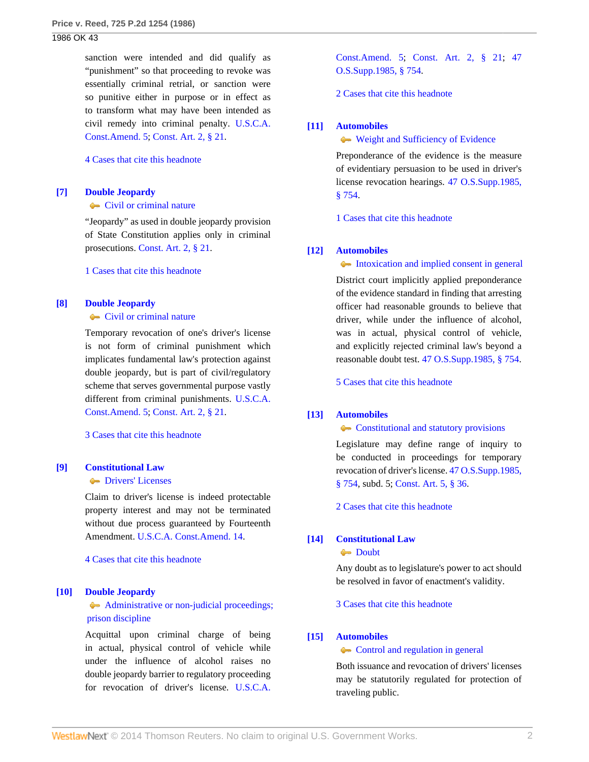sanction were intended and did qualify as "punishment" so that proceeding to revoke was essentially criminal retrial, or sanction were so punitive either in purpose or in effect as to transform what may have been intended as civil remedy into criminal penalty. [U.S.C.A.](http://www.westlaw.com/Link/Document/FullText?findType=L&pubNum=1000546&cite=USCOAMENDV&originatingDoc=I06512713f3a711d99439b076ef9ec4de&refType=LQ&originationContext=document&vr=3.0&rs=cblt1.0&transitionType=DocumentItem&contextData=(sc.Search)) [Const.Amend. 5;](http://www.westlaw.com/Link/Document/FullText?findType=L&pubNum=1000546&cite=USCOAMENDV&originatingDoc=I06512713f3a711d99439b076ef9ec4de&refType=LQ&originationContext=document&vr=3.0&rs=cblt1.0&transitionType=DocumentItem&contextData=(sc.Search)) [Const. Art. 2, § 21](http://www.westlaw.com/Link/Document/FullText?findType=L&pubNum=1000165&cite=OKCNART2S21&originatingDoc=I06512713f3a711d99439b076ef9ec4de&refType=LQ&originationContext=document&vr=3.0&rs=cblt1.0&transitionType=DocumentItem&contextData=(sc.Search)).

#### [4 Cases that cite this headnote](http://www.westlaw.com/Link/RelatedInformation/DocHeadnoteLink?docGuid=I06512713f3a711d99439b076ef9ec4de&headnoteId=198613588500620131020172854&originationContext=document&vr=3.0&rs=cblt1.0&transitionType=CitingReferences&contextData=(sc.Search))

#### <span id="page-1-0"></span>**[\[7\]](#page-3-6) [Double Jeopardy](http://www.westlaw.com/Browse/Home/KeyNumber/135H/View.html?docGuid=I06512713f3a711d99439b076ef9ec4de&originationContext=document&vr=3.0&rs=cblt1.0&transitionType=DocumentItem&contextData=(sc.Search))**

**[Civil or criminal nature](http://www.westlaw.com/Browse/Home/KeyNumber/135Hk23/View.html?docGuid=I06512713f3a711d99439b076ef9ec4de&originationContext=document&vr=3.0&rs=cblt1.0&transitionType=DocumentItem&contextData=(sc.Search))** 

"Jeopardy" as used in double jeopardy provision of State Constitution applies only in criminal prosecutions. [Const. Art. 2, § 21](http://www.westlaw.com/Link/Document/FullText?findType=L&pubNum=1000165&cite=OKCNART2S21&originatingDoc=I06512713f3a711d99439b076ef9ec4de&refType=LQ&originationContext=document&vr=3.0&rs=cblt1.0&transitionType=DocumentItem&contextData=(sc.Search)).

[1 Cases that cite this headnote](http://www.westlaw.com/Link/RelatedInformation/DocHeadnoteLink?docGuid=I06512713f3a711d99439b076ef9ec4de&headnoteId=198613588500720131020172854&originationContext=document&vr=3.0&rs=cblt1.0&transitionType=CitingReferences&contextData=(sc.Search))

#### <span id="page-1-1"></span>**[\[8\]](#page-3-7) [Double Jeopardy](http://www.westlaw.com/Browse/Home/KeyNumber/135H/View.html?docGuid=I06512713f3a711d99439b076ef9ec4de&originationContext=document&vr=3.0&rs=cblt1.0&transitionType=DocumentItem&contextData=(sc.Search))**

**[Civil or criminal nature](http://www.westlaw.com/Browse/Home/KeyNumber/135Hk23/View.html?docGuid=I06512713f3a711d99439b076ef9ec4de&originationContext=document&vr=3.0&rs=cblt1.0&transitionType=DocumentItem&contextData=(sc.Search))** 

Temporary revocation of one's driver's license is not form of criminal punishment which implicates fundamental law's protection against double jeopardy, but is part of civil/regulatory scheme that serves governmental purpose vastly different from criminal punishments. [U.S.C.A.](http://www.westlaw.com/Link/Document/FullText?findType=L&pubNum=1000546&cite=USCOAMENDV&originatingDoc=I06512713f3a711d99439b076ef9ec4de&refType=LQ&originationContext=document&vr=3.0&rs=cblt1.0&transitionType=DocumentItem&contextData=(sc.Search)) [Const.Amend. 5;](http://www.westlaw.com/Link/Document/FullText?findType=L&pubNum=1000546&cite=USCOAMENDV&originatingDoc=I06512713f3a711d99439b076ef9ec4de&refType=LQ&originationContext=document&vr=3.0&rs=cblt1.0&transitionType=DocumentItem&contextData=(sc.Search)) [Const. Art. 2, § 21](http://www.westlaw.com/Link/Document/FullText?findType=L&pubNum=1000165&cite=OKCNART2S21&originatingDoc=I06512713f3a711d99439b076ef9ec4de&refType=LQ&originationContext=document&vr=3.0&rs=cblt1.0&transitionType=DocumentItem&contextData=(sc.Search)).

[3 Cases that cite this headnote](http://www.westlaw.com/Link/RelatedInformation/DocHeadnoteLink?docGuid=I06512713f3a711d99439b076ef9ec4de&headnoteId=198613588500820131020172854&originationContext=document&vr=3.0&rs=cblt1.0&transitionType=CitingReferences&contextData=(sc.Search))

## <span id="page-1-2"></span>**[\[9\]](#page-3-8) [Constitutional Law](http://www.westlaw.com/Browse/Home/KeyNumber/92/View.html?docGuid=I06512713f3a711d99439b076ef9ec4de&originationContext=document&vr=3.0&rs=cblt1.0&transitionType=DocumentItem&contextData=(sc.Search))**

#### **[Drivers' Licenses](http://www.westlaw.com/Browse/Home/KeyNumber/92k4354/View.html?docGuid=I06512713f3a711d99439b076ef9ec4de&originationContext=document&vr=3.0&rs=cblt1.0&transitionType=DocumentItem&contextData=(sc.Search))**

Claim to driver's license is indeed protectable property interest and may not be terminated without due process guaranteed by Fourteenth Amendment. [U.S.C.A. Const.Amend. 14](http://www.westlaw.com/Link/Document/FullText?findType=L&pubNum=1000546&cite=USCOAMENDXIV&originatingDoc=I06512713f3a711d99439b076ef9ec4de&refType=LQ&originationContext=document&vr=3.0&rs=cblt1.0&transitionType=DocumentItem&contextData=(sc.Search)).

[4 Cases that cite this headnote](http://www.westlaw.com/Link/RelatedInformation/DocHeadnoteLink?docGuid=I06512713f3a711d99439b076ef9ec4de&headnoteId=198613588500920131020172854&originationContext=document&vr=3.0&rs=cblt1.0&transitionType=CitingReferences&contextData=(sc.Search))

#### <span id="page-1-3"></span>**[\[10\]](#page-3-9) [Double Jeopardy](http://www.westlaw.com/Browse/Home/KeyNumber/135H/View.html?docGuid=I06512713f3a711d99439b076ef9ec4de&originationContext=document&vr=3.0&rs=cblt1.0&transitionType=DocumentItem&contextData=(sc.Search))**

# [Administrative or non-judicial proceedings;](http://www.westlaw.com/Browse/Home/KeyNumber/135Hk24/View.html?docGuid=I06512713f3a711d99439b076ef9ec4de&originationContext=document&vr=3.0&rs=cblt1.0&transitionType=DocumentItem&contextData=(sc.Search))  [prison discipline](http://www.westlaw.com/Browse/Home/KeyNumber/135Hk24/View.html?docGuid=I06512713f3a711d99439b076ef9ec4de&originationContext=document&vr=3.0&rs=cblt1.0&transitionType=DocumentItem&contextData=(sc.Search))

Acquittal upon criminal charge of being in actual, physical control of vehicle while under the influence of alcohol raises no double jeopardy barrier to regulatory proceeding for revocation of driver's license. [U.S.C.A.](http://www.westlaw.com/Link/Document/FullText?findType=L&pubNum=1000546&cite=USCOAMENDV&originatingDoc=I06512713f3a711d99439b076ef9ec4de&refType=LQ&originationContext=document&vr=3.0&rs=cblt1.0&transitionType=DocumentItem&contextData=(sc.Search))

[Const.Amend. 5](http://www.westlaw.com/Link/Document/FullText?findType=L&pubNum=1000546&cite=USCOAMENDV&originatingDoc=I06512713f3a711d99439b076ef9ec4de&refType=LQ&originationContext=document&vr=3.0&rs=cblt1.0&transitionType=DocumentItem&contextData=(sc.Search)); [Const. Art. 2, § 21;](http://www.westlaw.com/Link/Document/FullText?findType=L&pubNum=1000165&cite=OKCNART2S21&originatingDoc=I06512713f3a711d99439b076ef9ec4de&refType=LQ&originationContext=document&vr=3.0&rs=cblt1.0&transitionType=DocumentItem&contextData=(sc.Search)) [47](http://www.westlaw.com/Link/Document/FullText?findType=L&pubNum=1000165&cite=OKSTT47S754&originatingDoc=I06512713f3a711d99439b076ef9ec4de&refType=LQ&originationContext=document&vr=3.0&rs=cblt1.0&transitionType=DocumentItem&contextData=(sc.Search)) [O.S.Supp.1985, § 754.](http://www.westlaw.com/Link/Document/FullText?findType=L&pubNum=1000165&cite=OKSTT47S754&originatingDoc=I06512713f3a711d99439b076ef9ec4de&refType=LQ&originationContext=document&vr=3.0&rs=cblt1.0&transitionType=DocumentItem&contextData=(sc.Search))

[2 Cases that cite this headnote](http://www.westlaw.com/Link/RelatedInformation/DocHeadnoteLink?docGuid=I06512713f3a711d99439b076ef9ec4de&headnoteId=198613588501020131020172854&originationContext=document&vr=3.0&rs=cblt1.0&transitionType=CitingReferences&contextData=(sc.Search))

#### <span id="page-1-4"></span>**[\[11\]](#page-4-0) [Automobiles](http://www.westlaw.com/Browse/Home/KeyNumber/48A/View.html?docGuid=I06512713f3a711d99439b076ef9ec4de&originationContext=document&vr=3.0&rs=cblt1.0&transitionType=DocumentItem&contextData=(sc.Search))**

#### [Weight and Sufficiency of Evidence](http://www.westlaw.com/Browse/Home/KeyNumber/48Ak144.2(10)/View.html?docGuid=I06512713f3a711d99439b076ef9ec4de&originationContext=document&vr=3.0&rs=cblt1.0&transitionType=DocumentItem&contextData=(sc.Search))

Preponderance of the evidence is the measure of evidentiary persuasion to be used in driver's license revocation hearings. [47 O.S.Supp.1985,](http://www.westlaw.com/Link/Document/FullText?findType=L&pubNum=1000165&cite=OKSTT47S754&originatingDoc=I06512713f3a711d99439b076ef9ec4de&refType=LQ&originationContext=document&vr=3.0&rs=cblt1.0&transitionType=DocumentItem&contextData=(sc.Search)) [§ 754](http://www.westlaw.com/Link/Document/FullText?findType=L&pubNum=1000165&cite=OKSTT47S754&originatingDoc=I06512713f3a711d99439b076ef9ec4de&refType=LQ&originationContext=document&vr=3.0&rs=cblt1.0&transitionType=DocumentItem&contextData=(sc.Search)).

[1 Cases that cite this headnote](http://www.westlaw.com/Link/RelatedInformation/DocHeadnoteLink?docGuid=I06512713f3a711d99439b076ef9ec4de&headnoteId=198613588501120131020172854&originationContext=document&vr=3.0&rs=cblt1.0&transitionType=CitingReferences&contextData=(sc.Search))

#### <span id="page-1-5"></span>**[\[12\]](#page-4-1) [Automobiles](http://www.westlaw.com/Browse/Home/KeyNumber/48A/View.html?docGuid=I06512713f3a711d99439b076ef9ec4de&originationContext=document&vr=3.0&rs=cblt1.0&transitionType=DocumentItem&contextData=(sc.Search))**

[Intoxication and implied consent in general](http://www.westlaw.com/Browse/Home/KeyNumber/48Ak144.2(10.2)/View.html?docGuid=I06512713f3a711d99439b076ef9ec4de&originationContext=document&vr=3.0&rs=cblt1.0&transitionType=DocumentItem&contextData=(sc.Search))

District court implicitly applied preponderance of the evidence standard in finding that arresting officer had reasonable grounds to believe that driver, while under the influence of alcohol, was in actual, physical control of vehicle, and explicitly rejected criminal law's beyond a reasonable doubt test. [47 O.S.Supp.1985, § 754.](http://www.westlaw.com/Link/Document/FullText?findType=L&pubNum=1000165&cite=OKSTT47S754&originatingDoc=I06512713f3a711d99439b076ef9ec4de&refType=LQ&originationContext=document&vr=3.0&rs=cblt1.0&transitionType=DocumentItem&contextData=(sc.Search))

[5 Cases that cite this headnote](http://www.westlaw.com/Link/RelatedInformation/DocHeadnoteLink?docGuid=I06512713f3a711d99439b076ef9ec4de&headnoteId=198613588501220131020172854&originationContext=document&vr=3.0&rs=cblt1.0&transitionType=CitingReferences&contextData=(sc.Search))

# <span id="page-1-6"></span>**[\[13\]](#page-4-2) [Automobiles](http://www.westlaw.com/Browse/Home/KeyNumber/48A/View.html?docGuid=I06512713f3a711d99439b076ef9ec4de&originationContext=document&vr=3.0&rs=cblt1.0&transitionType=DocumentItem&contextData=(sc.Search))**

#### [Constitutional and statutory provisions](http://www.westlaw.com/Browse/Home/KeyNumber/48Ak144.1(1.5)/View.html?docGuid=I06512713f3a711d99439b076ef9ec4de&originationContext=document&vr=3.0&rs=cblt1.0&transitionType=DocumentItem&contextData=(sc.Search))

Legislature may define range of inquiry to be conducted in proceedings for temporary revocation of driver's license. [47 O.S.Supp.1985,](http://www.westlaw.com/Link/Document/FullText?findType=L&pubNum=1000165&cite=OKSTT47S754&originatingDoc=I06512713f3a711d99439b076ef9ec4de&refType=LQ&originationContext=document&vr=3.0&rs=cblt1.0&transitionType=DocumentItem&contextData=(sc.Search)) [§ 754](http://www.westlaw.com/Link/Document/FullText?findType=L&pubNum=1000165&cite=OKSTT47S754&originatingDoc=I06512713f3a711d99439b076ef9ec4de&refType=LQ&originationContext=document&vr=3.0&rs=cblt1.0&transitionType=DocumentItem&contextData=(sc.Search)), subd. 5; [Const. Art. 5, § 36](http://www.westlaw.com/Link/Document/FullText?findType=L&pubNum=1000165&cite=OKCNART5S36&originatingDoc=I06512713f3a711d99439b076ef9ec4de&refType=LQ&originationContext=document&vr=3.0&rs=cblt1.0&transitionType=DocumentItem&contextData=(sc.Search)).

[2 Cases that cite this headnote](http://www.westlaw.com/Link/RelatedInformation/DocHeadnoteLink?docGuid=I06512713f3a711d99439b076ef9ec4de&headnoteId=198613588501320131020172854&originationContext=document&vr=3.0&rs=cblt1.0&transitionType=CitingReferences&contextData=(sc.Search))

### <span id="page-1-7"></span>**[\[14\]](#page-4-3) [Constitutional Law](http://www.westlaw.com/Browse/Home/KeyNumber/92/View.html?docGuid=I06512713f3a711d99439b076ef9ec4de&originationContext=document&vr=3.0&rs=cblt1.0&transitionType=DocumentItem&contextData=(sc.Search))**

**[Doubt](http://www.westlaw.com/Browse/Home/KeyNumber/92k1001/View.html?docGuid=I06512713f3a711d99439b076ef9ec4de&originationContext=document&vr=3.0&rs=cblt1.0&transitionType=DocumentItem&contextData=(sc.Search))** 

Any doubt as to legislature's power to act should be resolved in favor of enactment's validity.

[3 Cases that cite this headnote](http://www.westlaw.com/Link/RelatedInformation/DocHeadnoteLink?docGuid=I06512713f3a711d99439b076ef9ec4de&headnoteId=198613588501420131020172854&originationContext=document&vr=3.0&rs=cblt1.0&transitionType=CitingReferences&contextData=(sc.Search))

#### <span id="page-1-8"></span>**[\[15\]](#page-4-4) [Automobiles](http://www.westlaw.com/Browse/Home/KeyNumber/48A/View.html?docGuid=I06512713f3a711d99439b076ef9ec4de&originationContext=document&vr=3.0&rs=cblt1.0&transitionType=DocumentItem&contextData=(sc.Search))**

[Control and regulation in general](http://www.westlaw.com/Browse/Home/KeyNumber/48Ak130/View.html?docGuid=I06512713f3a711d99439b076ef9ec4de&originationContext=document&vr=3.0&rs=cblt1.0&transitionType=DocumentItem&contextData=(sc.Search))

Both issuance and revocation of drivers' licenses may be statutorily regulated for protection of traveling public.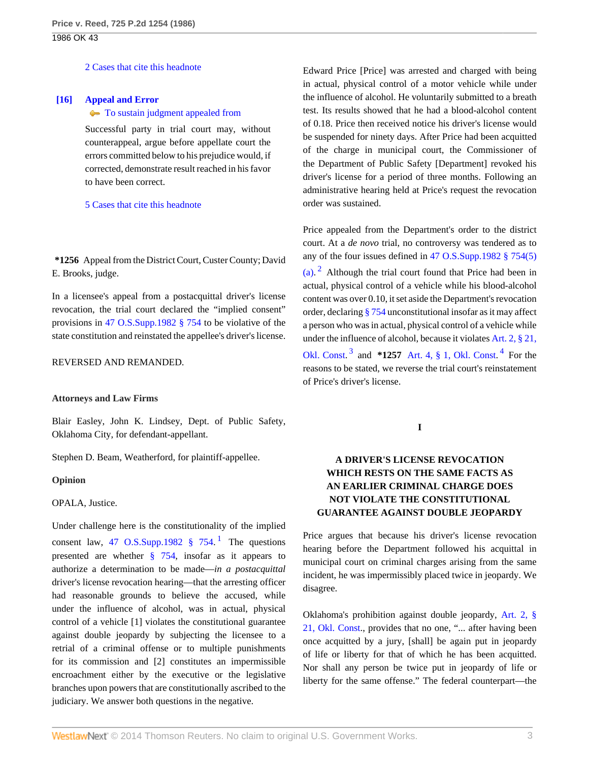[2 Cases that cite this headnote](http://www.westlaw.com/Link/RelatedInformation/DocHeadnoteLink?docGuid=I06512713f3a711d99439b076ef9ec4de&headnoteId=198613588501520131020172854&originationContext=document&vr=3.0&rs=cblt1.0&transitionType=CitingReferences&contextData=(sc.Search))

### <span id="page-2-0"></span>**[\[16\]](#page-4-5) [Appeal and Error](http://www.westlaw.com/Browse/Home/KeyNumber/30/View.html?docGuid=I06512713f3a711d99439b076ef9ec4de&originationContext=document&vr=3.0&rs=cblt1.0&transitionType=DocumentItem&contextData=(sc.Search))**

#### $\blacktriangleright$  [To sustain judgment appealed from](http://www.westlaw.com/Browse/Home/KeyNumber/30k878(4)/View.html?docGuid=I06512713f3a711d99439b076ef9ec4de&originationContext=document&vr=3.0&rs=cblt1.0&transitionType=DocumentItem&contextData=(sc.Search))

Successful party in trial court may, without counterappeal, argue before appellate court the errors committed below to his prejudice would, if corrected, demonstrate result reached in his favor to have been correct.

#### [5 Cases that cite this headnote](http://www.westlaw.com/Link/RelatedInformation/DocHeadnoteLink?docGuid=I06512713f3a711d99439b076ef9ec4de&headnoteId=198613588501620131020172854&originationContext=document&vr=3.0&rs=cblt1.0&transitionType=CitingReferences&contextData=(sc.Search))

**\*1256** Appeal from the District Court, Custer County; David E. Brooks, judge.

In a licensee's appeal from a postacquittal driver's license revocation, the trial court declared the "implied consent" provisions in [47 O.S.Supp.1982 § 754](http://www.westlaw.com/Link/Document/FullText?findType=L&pubNum=1000165&cite=OKSTT47S754&originatingDoc=I06512713f3a711d99439b076ef9ec4de&refType=LQ&originationContext=document&vr=3.0&rs=cblt1.0&transitionType=DocumentItem&contextData=(sc.Search)) to be violative of the state constitution and reinstated the appellee's driver's license.

### REVERSED AND REMANDED.

### **Attorneys and Law Firms**

Blair Easley, John K. Lindsey, Dept. of Public Safety, Oklahoma City, for defendant-appellant.

Stephen D. Beam, Weatherford, for plaintiff-appellee.

### **Opinion**

### OPALA, Justice.

Under challenge here is the constitutionality of the implied consent law, 47 O.S.Supp.[1](#page-4-6)982  $\S$  754.<sup>1</sup> The questions presented are whether [§ 754](http://www.westlaw.com/Link/Document/FullText?findType=L&pubNum=1000165&cite=OKSTT47S754&originatingDoc=I06512713f3a711d99439b076ef9ec4de&refType=LQ&originationContext=document&vr=3.0&rs=cblt1.0&transitionType=DocumentItem&contextData=(sc.Search)), insofar as it appears to authorize a determination to be made—*in a postacquittal* driver's license revocation hearing—that the arresting officer had reasonable grounds to believe the accused, while under the influence of alcohol, was in actual, physical control of a vehicle [1] violates the constitutional guarantee against double jeopardy by subjecting the licensee to a retrial of a criminal offense or to multiple punishments for its commission and [2] constitutes an impermissible encroachment either by the executive or the legislative branches upon powers that are constitutionally ascribed to the judiciary. We answer both questions in the negative.

Edward Price [Price] was arrested and charged with being in actual, physical control of a motor vehicle while under the influence of alcohol. He voluntarily submitted to a breath test. Its results showed that he had a blood-alcohol content of 0.18. Price then received notice his driver's license would be suspended for ninety days. After Price had been acquitted of the charge in municipal court, the Commissioner of the Department of Public Safety [Department] revoked his driver's license for a period of three months. Following an administrative hearing held at Price's request the revocation order was sustained.

<span id="page-2-2"></span>Price appealed from the Department's order to the district court. At a *de novo* trial, no controversy was tendered as to any of the four issues defined in [47 O.S.Supp.1982 § 754\(5\)](http://www.westlaw.com/Link/Document/FullText?findType=L&pubNum=1000165&cite=OKSTT47S754&originatingDoc=I06512713f3a711d99439b076ef9ec4de&refType=LQ&originationContext=document&vr=3.0&rs=cblt1.0&transitionType=DocumentItem&contextData=(sc.Search)) [\(a\)](http://www.westlaw.com/Link/Document/FullText?findType=L&pubNum=1000165&cite=OKSTT47S754&originatingDoc=I06512713f3a711d99439b076ef9ec4de&refType=LQ&originationContext=document&vr=3.0&rs=cblt1.0&transitionType=DocumentItem&contextData=(sc.Search)).  $2$  Although the trial court found that Price had been in actual, physical control of a vehicle while his blood-alcohol content was over 0.10, it set aside the Department's revocation order, declaring [§ 754](http://www.westlaw.com/Link/Document/FullText?findType=L&pubNum=1000165&cite=OKSTT47S754&originatingDoc=I06512713f3a711d99439b076ef9ec4de&refType=LQ&originationContext=document&vr=3.0&rs=cblt1.0&transitionType=DocumentItem&contextData=(sc.Search)) unconstitutional insofar as it may affect a person who was in actual, physical control of a vehicle while under the influence of alcohol, because it violates [Art. 2, § 21,](http://www.westlaw.com/Link/Document/FullText?findType=L&pubNum=1000165&cite=OKCNART2S21&originatingDoc=I06512713f3a711d99439b076ef9ec4de&refType=LQ&originationContext=document&vr=3.0&rs=cblt1.0&transitionType=DocumentItem&contextData=(sc.Search)) [Okl. Const.](http://www.westlaw.com/Link/Document/FullText?findType=L&pubNum=1000165&cite=OKCNART2S21&originatingDoc=I06512713f3a711d99439b076ef9ec4de&refType=LQ&originationContext=document&vr=3.0&rs=cblt1.0&transitionType=DocumentItem&contextData=(sc.Search))<sup>[3](#page-4-8)</sup> and \*1257 [Art. 4, § 1, Okl. Const.](http://www.westlaw.com/Link/Document/FullText?findType=L&pubNum=1000165&cite=OKCNART4S1&originatingDoc=I06512713f3a711d99439b076ef9ec4de&refType=LQ&originationContext=document&vr=3.0&rs=cblt1.0&transitionType=DocumentItem&contextData=(sc.Search))<sup>[4](#page-5-0)</sup> For the reasons to be stated, we reverse the trial court's reinstatement of Price's driver's license.

<span id="page-2-4"></span><span id="page-2-3"></span>**I**

# **A DRIVER'S LICENSE REVOCATION WHICH RESTS ON THE SAME FACTS AS AN EARLIER CRIMINAL CHARGE DOES NOT VIOLATE THE CONSTITUTIONAL GUARANTEE AGAINST DOUBLE JEOPARDY**

<span id="page-2-1"></span>Price argues that because his driver's license revocation hearing before the Department followed his acquittal in municipal court on criminal charges arising from the same incident, he was impermissibly placed twice in jeopardy. We disagree.

Oklahoma's prohibition against double jeopardy, [Art. 2, §](http://www.westlaw.com/Link/Document/FullText?findType=L&pubNum=1000165&cite=OKCNART2S21&originatingDoc=I06512713f3a711d99439b076ef9ec4de&refType=LQ&originationContext=document&vr=3.0&rs=cblt1.0&transitionType=DocumentItem&contextData=(sc.Search)) [21, Okl. Const.](http://www.westlaw.com/Link/Document/FullText?findType=L&pubNum=1000165&cite=OKCNART2S21&originatingDoc=I06512713f3a711d99439b076ef9ec4de&refType=LQ&originationContext=document&vr=3.0&rs=cblt1.0&transitionType=DocumentItem&contextData=(sc.Search)), provides that no one, "... after having been once acquitted by a jury, [shall] be again put in jeopardy of life or liberty for that of which he has been acquitted. Nor shall any person be twice put in jeopardy of life or liberty for the same offense." The federal counterpart—the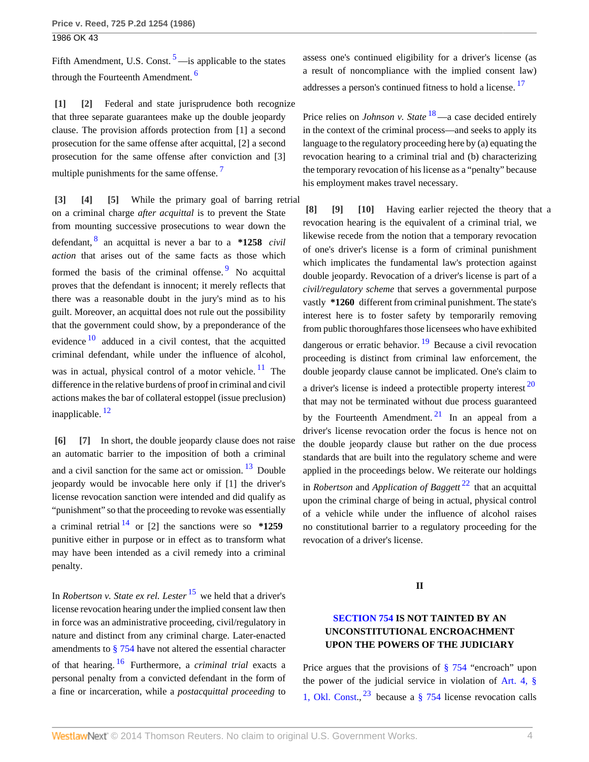<span id="page-3-10"></span>Fifth Amendment, U.S. Const.  $5$ —is applicable to the states through the Fourteenth Amendment.<sup>[6](#page-5-2)</sup>

<span id="page-3-1"></span><span id="page-3-0"></span>**[\[1\]](#page-0-0) [\[2\]](#page-0-1)** Federal and state jurisprudence both recognize that three separate guarantees make up the double jeopardy clause. The provision affords protection from [1] a second prosecution for the same offense after acquittal, [2] a second prosecution for the same offense after conviction and [3] multiple punishments for the same offense.<sup>[7](#page-5-3)</sup>

<span id="page-3-13"></span><span id="page-3-4"></span><span id="page-3-3"></span><span id="page-3-2"></span>**[\[3\]](#page-0-2) [\[4\]](#page-0-3) [\[5\]](#page-0-4)** While the primary goal of barring retrial on a criminal charge *after acquittal* is to prevent the State from mounting successive prosecutions to wear down the defendant, [8](#page-5-4) an acquittal is never a bar to a **\*1258** *civil action* that arises out of the same facts as those which formed the basis of the criminal offense. <sup>[9](#page-5-5)</sup> No acquittal proves that the defendant is innocent; it merely reflects that there was a reasonable doubt in the jury's mind as to his guilt. Moreover, an acquittal does not rule out the possibility that the government could show, by a preponderance of the evidence  $10$  adduced in a civil contest, that the acquitted criminal defendant, while under the influence of alcohol, was in actual, physical control of a motor vehicle.  $11$  The difference in the relative burdens of proof in criminal and civil actions makes the bar of collateral estoppel (issue preclusion) inapplicable. [12](#page-5-8)

<span id="page-3-17"></span><span id="page-3-15"></span><span id="page-3-6"></span><span id="page-3-5"></span>**[\[6\]](#page-0-5) [\[7\]](#page-1-0)** In short, the double jeopardy clause does not raise an automatic barrier to the imposition of both a criminal and a civil sanction for the same act or omission.  $13$  Double jeopardy would be invocable here only if [1] the driver's license revocation sanction were intended and did qualify as "punishment" so that the proceeding to revoke was essentially a criminal retrial  $14$  or [2] the sanctions were so  $*1259$ punitive either in purpose or in effect as to transform what may have been intended as a civil remedy into a criminal penalty.

<span id="page-3-21"></span><span id="page-3-20"></span><span id="page-3-19"></span>In *Robertson v. State ex rel. Lester* [15](#page-6-0) we held that a driver's license revocation hearing under the implied consent law then in force was an administrative proceeding, civil/regulatory in nature and distinct from any criminal charge. Later-enacted amendments to [§ 754](http://www.westlaw.com/Link/Document/FullText?findType=L&pubNum=1000165&cite=OKSTT47S754&originatingDoc=I06512713f3a711d99439b076ef9ec4de&refType=LQ&originationContext=document&vr=3.0&rs=cblt1.0&transitionType=DocumentItem&contextData=(sc.Search)) have not altered the essential character of that hearing. [16](#page-6-1) Furthermore, a *criminal trial* exacts a personal penalty from a convicted defendant in the form of a fine or incarceration, while a *postacquittal proceeding* to <span id="page-3-22"></span><span id="page-3-11"></span>assess one's continued eligibility for a driver's license (as a result of noncompliance with the implied consent law) addresses a person's continued fitness to hold a license.<sup>[17](#page-6-2)</sup>

<span id="page-3-23"></span>Price relies on *Johnson v. State* <sup>[18](#page-6-3)</sup>—a case decided entirely in the context of the criminal process—and seeks to apply its language to the regulatory proceeding here by (a) equating the revocation hearing to a criminal trial and (b) characterizing the temporary revocation of his license as a "penalty" because his employment makes travel necessary.

<span id="page-3-24"></span><span id="page-3-16"></span><span id="page-3-14"></span><span id="page-3-12"></span><span id="page-3-9"></span><span id="page-3-8"></span><span id="page-3-7"></span>**[\[8\]](#page-1-1) [\[9\]](#page-1-2) [\[10\]](#page-1-3)** Having earlier rejected the theory that a revocation hearing is the equivalent of a criminal trial, we likewise recede from the notion that a temporary revocation of one's driver's license is a form of criminal punishment which implicates the fundamental law's protection against double jeopardy. Revocation of a driver's license is part of a *civil/regulatory scheme* that serves a governmental purpose vastly **\*1260** different from criminal punishment. The state's interest here is to foster safety by temporarily removing from public thoroughfares those licensees who have exhibited dangerous or erratic behavior.  $\frac{19}{19}$  $\frac{19}{19}$  $\frac{19}{19}$  Because a civil revocation proceeding is distinct from criminal law enforcement, the double jeopardy clause cannot be implicated. One's claim to a driver's license is indeed a protectible property interest  $20$ that may not be terminated without due process guaranteed by the Fourteenth Amendment.<sup>[21](#page-6-6)</sup> In an appeal from a driver's license revocation order the focus is hence not on the double jeopardy clause but rather on the due process standards that are built into the regulatory scheme and were applied in the proceedings below. We reiterate our holdings in *Robertson* and *Application of Baggett* [22](#page-6-7) that an acquittal upon the criminal charge of being in actual, physical control of a vehicle while under the influence of alcohol raises no constitutional barrier to a regulatory proceeding for the revocation of a driver's license.

### <span id="page-3-27"></span><span id="page-3-26"></span><span id="page-3-25"></span>**II**

# <span id="page-3-18"></span>**[SECTION 754](http://www.westlaw.com/Link/Document/FullText?findType=L&pubNum=1000165&cite=OKSTT47S754&originatingDoc=I06512713f3a711d99439b076ef9ec4de&refType=LQ&originationContext=document&vr=3.0&rs=cblt1.0&transitionType=DocumentItem&contextData=(sc.Search)) IS NOT TAINTED BY AN UNCONSTITUTIONAL ENCROACHMENT UPON THE POWERS OF THE JUDICIARY**

<span id="page-3-28"></span>Price argues that the provisions of  $\S 754$  "encroach" upon the power of the judicial service in violation of [Art. 4, §](http://www.westlaw.com/Link/Document/FullText?findType=L&pubNum=1000165&cite=OKCNART4S1&originatingDoc=I06512713f3a711d99439b076ef9ec4de&refType=LQ&originationContext=document&vr=3.0&rs=cblt1.0&transitionType=DocumentItem&contextData=(sc.Search)) [1, Okl. Const.](http://www.westlaw.com/Link/Document/FullText?findType=L&pubNum=1000165&cite=OKCNART4S1&originatingDoc=I06512713f3a711d99439b076ef9ec4de&refType=LQ&originationContext=document&vr=3.0&rs=cblt1.0&transitionType=DocumentItem&contextData=(sc.Search)),  $^{23}$  $^{23}$  $^{23}$  because a [§ 754](http://www.westlaw.com/Link/Document/FullText?findType=L&pubNum=1000165&cite=OKSTT47S754&originatingDoc=I06512713f3a711d99439b076ef9ec4de&refType=LQ&originationContext=document&vr=3.0&rs=cblt1.0&transitionType=DocumentItem&contextData=(sc.Search)) license revocation calls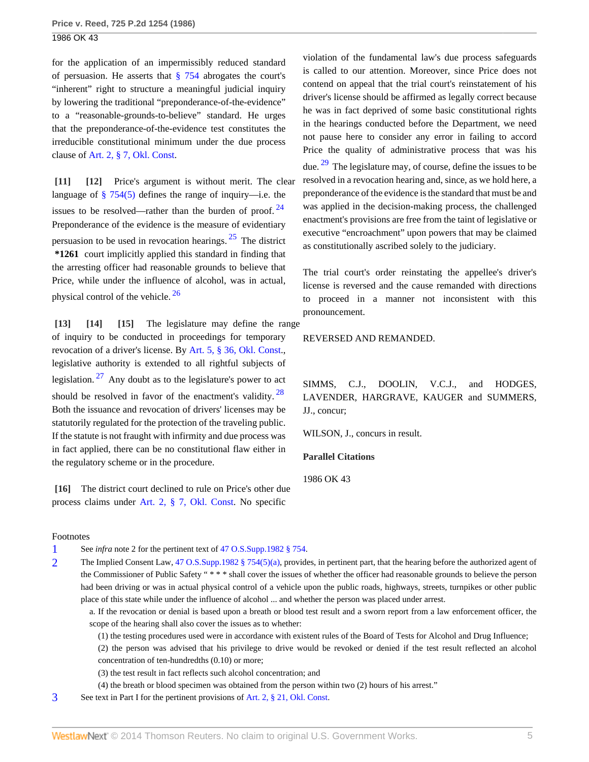for the application of an impermissibly reduced standard of persuasion. He asserts that [§ 754](http://www.westlaw.com/Link/Document/FullText?findType=L&pubNum=1000165&cite=OKSTT47S754&originatingDoc=I06512713f3a711d99439b076ef9ec4de&refType=LQ&originationContext=document&vr=3.0&rs=cblt1.0&transitionType=DocumentItem&contextData=(sc.Search)) abrogates the court's "inherent" right to structure a meaningful judicial inquiry by lowering the traditional "preponderance-of-the-evidence" to a "reasonable-grounds-to-believe" standard. He urges that the preponderance-of-the-evidence test constitutes the irreducible constitutional minimum under the due process clause of [Art. 2, § 7, Okl. Const](http://www.westlaw.com/Link/Document/FullText?findType=L&pubNum=1000165&cite=OKCNART2S7&originatingDoc=I06512713f3a711d99439b076ef9ec4de&refType=LQ&originationContext=document&vr=3.0&rs=cblt1.0&transitionType=DocumentItem&contextData=(sc.Search)).

<span id="page-4-1"></span><span id="page-4-0"></span>**[\[11\]](#page-1-4) [\[12\]](#page-1-5)** Price's argument is without merit. The clear language of  $\S$  754(5) defines the range of inquiry—i.e. the issues to be resolved—rather than the burden of proof.  $24$ Preponderance of the evidence is the measure of evidentiary persuasion to be used in revocation hearings.  $25$  The district **\*1261** court implicitly applied this standard in finding that the arresting officer had reasonable grounds to believe that Price, while under the influence of alcohol, was in actual, physical control of the vehicle. [26](#page-7-2)

<span id="page-4-12"></span><span id="page-4-11"></span><span id="page-4-4"></span><span id="page-4-3"></span><span id="page-4-2"></span>**[\[13\]](#page-1-6) [\[14](#page-1-7)] [\[15\]](#page-1-8)** The legislature may define the range of inquiry to be conducted in proceedings for temporary revocation of a driver's license. By [Art. 5, § 36, Okl. Const.](http://www.westlaw.com/Link/Document/FullText?findType=L&pubNum=1000165&cite=OKCNART5S36&originatingDoc=I06512713f3a711d99439b076ef9ec4de&refType=LQ&originationContext=document&vr=3.0&rs=cblt1.0&transitionType=DocumentItem&contextData=(sc.Search)), legislative authority is extended to all rightful subjects of legislation.  $27$  Any doubt as to the legislature's power to act should be resolved in favor of the enactment's validity.  $28$ Both the issuance and revocation of drivers' licenses may be statutorily regulated for the protection of the traveling public. If the statute is not fraught with infirmity and due process was in fact applied, there can be no constitutional flaw either in the regulatory scheme or in the procedure.

<span id="page-4-5"></span>**[\[16\]](#page-2-0)** The district court declined to rule on Price's other due process claims under [Art. 2, § 7, Okl. Const.](http://www.westlaw.com/Link/Document/FullText?findType=L&pubNum=1000165&cite=OKCNART2S7&originatingDoc=I06512713f3a711d99439b076ef9ec4de&refType=LQ&originationContext=document&vr=3.0&rs=cblt1.0&transitionType=DocumentItem&contextData=(sc.Search)) No specific

#### Footnotes

<span id="page-4-6"></span>[1](#page-2-1) See *infra* note 2 for the pertinent text of [47 O.S.Supp.1982 § 754.](http://www.westlaw.com/Link/Document/FullText?findType=L&pubNum=1000165&cite=OKSTT47S754&originatingDoc=I06512713f3a711d99439b076ef9ec4de&refType=LQ&originationContext=document&vr=3.0&rs=cblt1.0&transitionType=DocumentItem&contextData=(sc.Search))

- <span id="page-4-7"></span>[2](#page-2-2) The Implied Consent Law, [47 O.S.Supp.1982 § 754\(5\)\(a\)](http://www.westlaw.com/Link/Document/FullText?findType=L&pubNum=1000165&cite=OKSTT47S754&originatingDoc=I06512713f3a711d99439b076ef9ec4de&refType=LQ&originationContext=document&vr=3.0&rs=cblt1.0&transitionType=DocumentItem&contextData=(sc.Search)), provides, in pertinent part, that the hearing before the authorized agent of the Commissioner of Public Safety " \* \* \* shall cover the issues of whether the officer had reasonable grounds to believe the person had been driving or was in actual physical control of a vehicle upon the public roads, highways, streets, turnpikes or other public place of this state while under the influence of alcohol ... and whether the person was placed under arrest.
	- a. If the revocation or denial is based upon a breath or blood test result and a sworn report from a law enforcement officer, the scope of the hearing shall also cover the issues as to whether:

(1) the testing procedures used were in accordance with existent rules of the Board of Tests for Alcohol and Drug Influence;

(2) the person was advised that his privilege to drive would be revoked or denied if the test result reflected an alcohol concentration of ten-hundredths (0.10) or more;

(3) the test result in fact reflects such alcohol concentration; and

(4) the breath or blood specimen was obtained from the person within two (2) hours of his arrest."

<span id="page-4-8"></span>[3](#page-2-3) See text in Part I for the pertinent provisions of [Art. 2, § 21, Okl. Const.](http://www.westlaw.com/Link/Document/FullText?findType=L&pubNum=1000165&cite=OKCNART2S21&originatingDoc=I06512713f3a711d99439b076ef9ec4de&refType=LQ&originationContext=document&vr=3.0&rs=cblt1.0&transitionType=DocumentItem&contextData=(sc.Search))

<span id="page-4-14"></span>violation of the fundamental law's due process safeguards is called to our attention. Moreover, since Price does not contend on appeal that the trial court's reinstatement of his driver's license should be affirmed as legally correct because he was in fact deprived of some basic constitutional rights in the hearings conducted before the Department, we need not pause here to consider any error in failing to accord Price the quality of administrative process that was his due.  $29$  The legislature may, of course, define the issues to be resolved in a revocation hearing and, since, as we hold here, a preponderance of the evidence is the standard that must be and was applied in the decision-making process, the challenged enactment's provisions are free from the taint of legislative or executive "encroachment" upon powers that may be claimed as constitutionally ascribed solely to the judiciary.

<span id="page-4-10"></span><span id="page-4-9"></span>The trial court's order reinstating the appellee's driver's license is reversed and the cause remanded with directions to proceed in a manner not inconsistent with this pronouncement.

REVERSED AND REMANDED.

<span id="page-4-13"></span>SIMMS, C.J., DOOLIN, V.C.J., and HODGES, LAVENDER, HARGRAVE, KAUGER and SUMMERS, JJ., concur;

WILSON, J., concurs in result.

**Parallel Citations**

1986 OK 43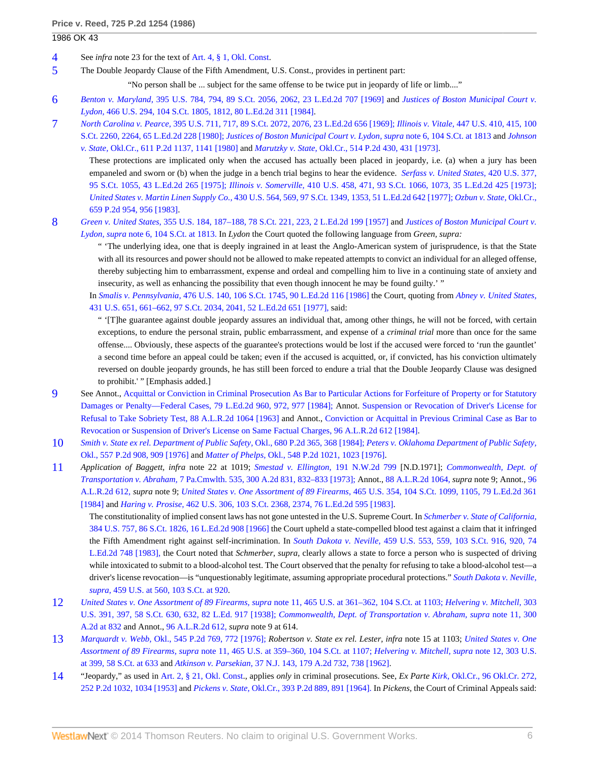- <span id="page-5-0"></span>[4](#page-2-4) See *infra* note 23 for the text of [Art. 4, § 1, Okl. Const.](http://www.westlaw.com/Link/Document/FullText?findType=L&pubNum=1000165&cite=OKCNART4S1&originatingDoc=I06512713f3a711d99439b076ef9ec4de&refType=LQ&originationContext=document&vr=3.0&rs=cblt1.0&transitionType=DocumentItem&contextData=(sc.Search))
- <span id="page-5-1"></span>[5](#page-3-10) The Double Jeopardy Clause of the Fifth Amendment, U.S. Const., provides in pertinent part:

"No person shall be ... subject for the same offense to be twice put in jeopardy of life or limb...."

- <span id="page-5-2"></span>[6](#page-3-11) *Benton v. Maryland,* [395 U.S. 784, 794, 89 S.Ct. 2056, 2062, 23 L.Ed.2d 707 \[1969\]](http://www.westlaw.com/Link/Document/FullText?findType=Y&serNum=1969133024&pubNum=708&fi=co_pp_sp_708_2062&originationContext=document&vr=3.0&rs=cblt1.0&transitionType=DocumentItem&contextData=(sc.Search)#co_pp_sp_708_2062) and *[Justices of Boston Municipal Court v.](http://www.westlaw.com/Link/Document/FullText?findType=Y&serNum=1984119006&pubNum=708&fi=co_pp_sp_708_1812&originationContext=document&vr=3.0&rs=cblt1.0&transitionType=DocumentItem&contextData=(sc.Search)#co_pp_sp_708_1812) Lydon,* [466 U.S. 294, 104 S.Ct. 1805, 1812, 80 L.Ed.2d 311 \[1984\]](http://www.westlaw.com/Link/Document/FullText?findType=Y&serNum=1984119006&pubNum=708&fi=co_pp_sp_708_1812&originationContext=document&vr=3.0&rs=cblt1.0&transitionType=DocumentItem&contextData=(sc.Search)#co_pp_sp_708_1812).
- <span id="page-5-3"></span>[7](#page-3-12) *North Carolina v. Pearce,* [395 U.S. 711, 717, 89 S.Ct. 2072, 2076, 23 L.Ed.2d 656 \[1969\];](http://www.westlaw.com/Link/Document/FullText?findType=Y&serNum=1969133025&pubNum=708&fi=co_pp_sp_708_2076&originationContext=document&vr=3.0&rs=cblt1.0&transitionType=DocumentItem&contextData=(sc.Search)#co_pp_sp_708_2076) *Illinois v. Vitale,* [447 U.S. 410, 415, 100](http://www.westlaw.com/Link/Document/FullText?findType=Y&serNum=1980116780&pubNum=708&fi=co_pp_sp_708_2264&originationContext=document&vr=3.0&rs=cblt1.0&transitionType=DocumentItem&contextData=(sc.Search)#co_pp_sp_708_2264) [S.Ct. 2260, 2264, 65 L.Ed.2d 228 \[1980\];](http://www.westlaw.com/Link/Document/FullText?findType=Y&serNum=1980116780&pubNum=708&fi=co_pp_sp_708_2264&originationContext=document&vr=3.0&rs=cblt1.0&transitionType=DocumentItem&contextData=(sc.Search)#co_pp_sp_708_2264) *[Justices of Boston Municipal Court v. Lydon, supra](http://www.westlaw.com/Link/Document/FullText?findType=Y&serNum=1984119006&pubNum=708&fi=co_pp_sp_708_1813&originationContext=document&vr=3.0&rs=cblt1.0&transitionType=DocumentItem&contextData=(sc.Search)#co_pp_sp_708_1813)* note 6, 104 S.Ct. at 1813 and *[Johnson](http://www.westlaw.com/Link/Document/FullText?findType=Y&serNum=1980115006&pubNum=661&fi=co_pp_sp_661_1141&originationContext=document&vr=3.0&rs=cblt1.0&transitionType=DocumentItem&contextData=(sc.Search)#co_pp_sp_661_1141)*
	- *v. State,* [Okl.Cr., 611 P.2d 1137, 1141 \[1980\]](http://www.westlaw.com/Link/Document/FullText?findType=Y&serNum=1980115006&pubNum=661&fi=co_pp_sp_661_1141&originationContext=document&vr=3.0&rs=cblt1.0&transitionType=DocumentItem&contextData=(sc.Search)#co_pp_sp_661_1141) and *Marutzky v. State,* [Okl.Cr., 514 P.2d 430, 431 \[1973\].](http://www.westlaw.com/Link/Document/FullText?findType=Y&serNum=1973125034&pubNum=661&fi=co_pp_sp_661_431&originationContext=document&vr=3.0&rs=cblt1.0&transitionType=DocumentItem&contextData=(sc.Search)#co_pp_sp_661_431) These protections are implicated only when the accused has actually been placed in jeopardy, i.e. (a) when a jury has been empaneled and sworn or (b) when the judge in a bench trial begins to hear the evidence. *[Serfass v. United States,](http://www.westlaw.com/Link/Document/FullText?findType=Y&serNum=1975129745&pubNum=708&originationContext=document&vr=3.0&rs=cblt1.0&transitionType=DocumentItem&contextData=(sc.Search))* 420 U.S. 377, [95 S.Ct. 1055, 43 L.Ed.2d 265 \[1975\];](http://www.westlaw.com/Link/Document/FullText?findType=Y&serNum=1975129745&pubNum=708&originationContext=document&vr=3.0&rs=cblt1.0&transitionType=DocumentItem&contextData=(sc.Search)) *Illinois v. Somerville,* [410 U.S. 458, 471, 93 S.Ct. 1066, 1073, 35 L.Ed.2d 425 \[1973\];](http://www.westlaw.com/Link/Document/FullText?findType=Y&serNum=1973126339&pubNum=708&fi=co_pp_sp_708_1073&originationContext=document&vr=3.0&rs=cblt1.0&transitionType=DocumentItem&contextData=(sc.Search)#co_pp_sp_708_1073) *United States v. Martin Linen Supply Co.,* [430 U.S. 564, 569, 97 S.Ct. 1349, 1353, 51 L.Ed.2d 642 \[1977\];](http://www.westlaw.com/Link/Document/FullText?findType=Y&serNum=1977118759&pubNum=708&fi=co_pp_sp_708_1353&originationContext=document&vr=3.0&rs=cblt1.0&transitionType=DocumentItem&contextData=(sc.Search)#co_pp_sp_708_1353) *[Ozbun v. State,](http://www.westlaw.com/Link/Document/FullText?findType=Y&serNum=1983110458&pubNum=661&fi=co_pp_sp_661_956&originationContext=document&vr=3.0&rs=cblt1.0&transitionType=DocumentItem&contextData=(sc.Search)#co_pp_sp_661_956)* Okl.Cr., [659 P.2d 954, 956 \[1983\].](http://www.westlaw.com/Link/Document/FullText?findType=Y&serNum=1983110458&pubNum=661&fi=co_pp_sp_661_956&originationContext=document&vr=3.0&rs=cblt1.0&transitionType=DocumentItem&contextData=(sc.Search)#co_pp_sp_661_956)
- <span id="page-5-4"></span>[8](#page-3-13) *Green v. United States,* [355 U.S. 184, 187–188, 78 S.Ct. 221, 223, 2 L.Ed.2d 199 \[1957\]](http://www.westlaw.com/Link/Document/FullText?findType=Y&serNum=1957191399&pubNum=708&fi=co_pp_sp_708_223&originationContext=document&vr=3.0&rs=cblt1.0&transitionType=DocumentItem&contextData=(sc.Search)#co_pp_sp_708_223) and *[Justices of Boston Municipal Court v.](http://www.westlaw.com/Link/Document/FullText?findType=Y&serNum=1984119006&pubNum=708&fi=co_pp_sp_708_1813&originationContext=document&vr=3.0&rs=cblt1.0&transitionType=DocumentItem&contextData=(sc.Search)#co_pp_sp_708_1813) Lydon, supra* [note 6, 104 S.Ct. at 1813.](http://www.westlaw.com/Link/Document/FullText?findType=Y&serNum=1984119006&pubNum=708&fi=co_pp_sp_708_1813&originationContext=document&vr=3.0&rs=cblt1.0&transitionType=DocumentItem&contextData=(sc.Search)#co_pp_sp_708_1813) In *Lydon* the Court quoted the following language from *Green, supra:*

" 'The underlying idea, one that is deeply ingrained in at least the Anglo-American system of jurisprudence, is that the State with all its resources and power should not be allowed to make repeated attempts to convict an individual for an alleged offense, thereby subjecting him to embarrassment, expense and ordeal and compelling him to live in a continuing state of anxiety and insecurity, as well as enhancing the possibility that even though innocent he may be found guilty.' "

In *Smalis v. Pennsylvania,* [476 U.S. 140, 106 S.Ct. 1745, 90 L.Ed.2d 116 \[1986\]](http://www.westlaw.com/Link/Document/FullText?findType=Y&serNum=1986123244&pubNum=708&originationContext=document&vr=3.0&rs=cblt1.0&transitionType=DocumentItem&contextData=(sc.Search)) the Court, quoting from *[Abney v. United States,](http://www.westlaw.com/Link/Document/FullText?findType=Y&serNum=1977118798&pubNum=708&fi=co_pp_sp_708_2041&originationContext=document&vr=3.0&rs=cblt1.0&transitionType=DocumentItem&contextData=(sc.Search)#co_pp_sp_708_2041)* [431 U.S. 651, 661–662, 97 S.Ct. 2034, 2041, 52 L.Ed.2d 651 \[1977\],](http://www.westlaw.com/Link/Document/FullText?findType=Y&serNum=1977118798&pubNum=708&fi=co_pp_sp_708_2041&originationContext=document&vr=3.0&rs=cblt1.0&transitionType=DocumentItem&contextData=(sc.Search)#co_pp_sp_708_2041) said:

" '[T]he guarantee against double jeopardy assures an individual that, among other things, he will not be forced, with certain exceptions, to endure the personal strain, public embarrassment, and expense of a *criminal trial* more than once for the same offense.... Obviously, these aspects of the guarantee's protections would be lost if the accused were forced to 'run the gauntlet' a second time before an appeal could be taken; even if the accused is acquitted, or, if convicted, has his conviction ultimately reversed on double jeopardy grounds, he has still been forced to endure a trial that the Double Jeopardy Clause was designed to prohibit.' " [Emphasis added.]

- <span id="page-5-5"></span>[9](#page-3-14) See Annot., [Acquittal or Conviction in Criminal Prosecution As Bar to Particular Actions for Forfeiture of Property or for Statutory](http://www.westlaw.com/Link/Document/FullText?findType=Y&serNum=1986021265&pubNum=471&fi=co_pp_sp_471_972&originationContext=document&vr=3.0&rs=cblt1.0&transitionType=DocumentItem&contextData=(sc.Search)#co_pp_sp_471_972) [Damages or Penalty—Federal Cases, 79 L.Ed.2d 960, 972, 977 \[1984\];](http://www.westlaw.com/Link/Document/FullText?findType=Y&serNum=1986021265&pubNum=471&fi=co_pp_sp_471_972&originationContext=document&vr=3.0&rs=cblt1.0&transitionType=DocumentItem&contextData=(sc.Search)#co_pp_sp_471_972) Annot. [Suspension or Revocation of Driver's License for](http://www.westlaw.com/Link/Document/FullText?findType=Y&serNum=1963009959&pubNum=107&originationContext=document&vr=3.0&rs=cblt1.0&transitionType=DocumentItem&contextData=(sc.Search)) [Refusal to Take Sobriety Test, 88 A.L.R.2d 1064 \[1963\]](http://www.westlaw.com/Link/Document/FullText?findType=Y&serNum=1963009959&pubNum=107&originationContext=document&vr=3.0&rs=cblt1.0&transitionType=DocumentItem&contextData=(sc.Search)) and Annot., [Conviction or Acquittal in Previous Criminal Case as Bar to](http://www.westlaw.com/Link/Document/FullText?findType=Y&serNum=1964009040&pubNum=107&originationContext=document&vr=3.0&rs=cblt1.0&transitionType=DocumentItem&contextData=(sc.Search)) [Revocation or Suspension of Driver's License on Same Factual Charges, 96 A.L.R.2d 612 \[1984\]](http://www.westlaw.com/Link/Document/FullText?findType=Y&serNum=1964009040&pubNum=107&originationContext=document&vr=3.0&rs=cblt1.0&transitionType=DocumentItem&contextData=(sc.Search)).
- <span id="page-5-6"></span>[10](#page-3-15) *[Smith v. State ex rel. Department of Public Safety,](http://www.westlaw.com/Link/Document/FullText?findType=Y&serNum=1984121354&pubNum=661&fi=co_pp_sp_661_368&originationContext=document&vr=3.0&rs=cblt1.0&transitionType=DocumentItem&contextData=(sc.Search)#co_pp_sp_661_368)* Okl., 680 P.2d 365, 368 [1984]; *[Peters v. Oklahoma Department of Public Safety,](http://www.westlaw.com/Link/Document/FullText?findType=Y&serNum=1976134846&pubNum=661&fi=co_pp_sp_661_909&originationContext=document&vr=3.0&rs=cblt1.0&transitionType=DocumentItem&contextData=(sc.Search)#co_pp_sp_661_909)* [Okl., 557 P.2d 908, 909 \[1976\]](http://www.westlaw.com/Link/Document/FullText?findType=Y&serNum=1976134846&pubNum=661&fi=co_pp_sp_661_909&originationContext=document&vr=3.0&rs=cblt1.0&transitionType=DocumentItem&contextData=(sc.Search)#co_pp_sp_661_909) and *Matter of Phelps,* [Okl., 548 P.2d 1021, 1023 \[1976\].](http://www.westlaw.com/Link/Document/FullText?findType=Y&serNum=1976113789&pubNum=661&fi=co_pp_sp_661_1023&originationContext=document&vr=3.0&rs=cblt1.0&transitionType=DocumentItem&contextData=(sc.Search)#co_pp_sp_661_1023)
- <span id="page-5-7"></span>[11](#page-3-16) *Application of Baggett, infra* note 22 at 1019; *[Smestad v. Ellington,](http://www.westlaw.com/Link/Document/FullText?findType=Y&serNum=1971118927&pubNum=595&originationContext=document&vr=3.0&rs=cblt1.0&transitionType=DocumentItem&contextData=(sc.Search))* 191 N.W.2d 799 [N.D.1971]; *[Commonwealth, Dept. of](http://www.westlaw.com/Link/Document/FullText?findType=Y&serNum=1973100374&pubNum=162&fi=co_pp_sp_162_832&originationContext=document&vr=3.0&rs=cblt1.0&transitionType=DocumentItem&contextData=(sc.Search)#co_pp_sp_162_832) Transportation v. Abraham,* [7 Pa.Cmwlth. 535, 300 A.2d 831, 832–833 \[1973\];](http://www.westlaw.com/Link/Document/FullText?findType=Y&serNum=1973100374&pubNum=162&fi=co_pp_sp_162_832&originationContext=document&vr=3.0&rs=cblt1.0&transitionType=DocumentItem&contextData=(sc.Search)#co_pp_sp_162_832) Annot., [88 A.L.R.2d 1064,](http://www.westlaw.com/Link/Document/FullText?findType=Y&serNum=1963009959&pubNum=107&originationContext=document&vr=3.0&rs=cblt1.0&transitionType=DocumentItem&contextData=(sc.Search)) *supra* note 9; Annot., [96](http://www.westlaw.com/Link/Document/FullText?findType=Y&serNum=1964009040&pubNum=107&originationContext=document&vr=3.0&rs=cblt1.0&transitionType=DocumentItem&contextData=(sc.Search)) [A.L.R.2d 612,](http://www.westlaw.com/Link/Document/FullText?findType=Y&serNum=1964009040&pubNum=107&originationContext=document&vr=3.0&rs=cblt1.0&transitionType=DocumentItem&contextData=(sc.Search)) *supra* note 9; *United States v. One Assortment of 89 Firearms,* [465 U.S. 354, 104 S.Ct. 1099, 1105, 79 L.Ed.2d 361](http://www.westlaw.com/Link/Document/FullText?findType=Y&serNum=1984109090&pubNum=708&fi=co_pp_sp_708_1105&originationContext=document&vr=3.0&rs=cblt1.0&transitionType=DocumentItem&contextData=(sc.Search)#co_pp_sp_708_1105) [\[1984\]](http://www.westlaw.com/Link/Document/FullText?findType=Y&serNum=1984109090&pubNum=708&fi=co_pp_sp_708_1105&originationContext=document&vr=3.0&rs=cblt1.0&transitionType=DocumentItem&contextData=(sc.Search)#co_pp_sp_708_1105) and *Haring v. Prosise,* [462 U.S. 306, 103 S.Ct. 2368, 2374, 76 L.Ed.2d 595 \[1983\].](http://www.westlaw.com/Link/Document/FullText?findType=Y&serNum=1983127667&pubNum=708&fi=co_pp_sp_708_2374&originationContext=document&vr=3.0&rs=cblt1.0&transitionType=DocumentItem&contextData=(sc.Search)#co_pp_sp_708_2374)
	- The constitutionality of implied consent laws has not gone untested in the U.S. Supreme Court. In *[Schmerber v. State of California,](http://www.westlaw.com/Link/Document/FullText?findType=Y&serNum=1966131595&pubNum=708&originationContext=document&vr=3.0&rs=cblt1.0&transitionType=DocumentItem&contextData=(sc.Search))* [384 U.S. 757, 86 S.Ct. 1826, 16 L.Ed.2d 908 \[1966\]](http://www.westlaw.com/Link/Document/FullText?findType=Y&serNum=1966131595&pubNum=708&originationContext=document&vr=3.0&rs=cblt1.0&transitionType=DocumentItem&contextData=(sc.Search)) the Court upheld a state-compelled blood test against a claim that it infringed the Fifth Amendment right against self-incrimination. In *South Dakota v. Neville,* [459 U.S. 553, 559, 103 S.Ct. 916, 920, 74](http://www.westlaw.com/Link/Document/FullText?findType=Y&serNum=1983109207&pubNum=708&fi=co_pp_sp_708_920&originationContext=document&vr=3.0&rs=cblt1.0&transitionType=DocumentItem&contextData=(sc.Search)#co_pp_sp_708_920) [L.Ed.2d 748 \[1983\],](http://www.westlaw.com/Link/Document/FullText?findType=Y&serNum=1983109207&pubNum=708&fi=co_pp_sp_708_920&originationContext=document&vr=3.0&rs=cblt1.0&transitionType=DocumentItem&contextData=(sc.Search)#co_pp_sp_708_920) the Court noted that *Schmerber, supra,* clearly allows a state to force a person who is suspected of driving while intoxicated to submit to a blood-alcohol test. The Court observed that the penalty for refusing to take a blood-alcohol test—a driver's license revocation—is "unquestionably legitimate, assuming appropriate procedural protections." *[South Dakota v. Neville,](http://www.westlaw.com/Link/Document/FullText?findType=Y&serNum=1983109207&pubNum=708&fi=co_pp_sp_708_920&originationContext=document&vr=3.0&rs=cblt1.0&transitionType=DocumentItem&contextData=(sc.Search)#co_pp_sp_708_920) supra,* [459 U.S. at 560, 103 S.Ct. at 920](http://www.westlaw.com/Link/Document/FullText?findType=Y&serNum=1983109207&pubNum=708&fi=co_pp_sp_708_920&originationContext=document&vr=3.0&rs=cblt1.0&transitionType=DocumentItem&contextData=(sc.Search)#co_pp_sp_708_920).
- <span id="page-5-8"></span>[12](#page-3-17) *[United States v. One Assortment of 89 Firearms, supra](http://www.westlaw.com/Link/Document/FullText?findType=Y&serNum=1984109090&pubNum=708&fi=co_pp_sp_708_1103&originationContext=document&vr=3.0&rs=cblt1.0&transitionType=DocumentItem&contextData=(sc.Search)#co_pp_sp_708_1103)* note 11, 465 U.S. at 361–362, 104 S.Ct. at 1103; *[Helvering v. Mitchell,](http://www.westlaw.com/Link/Document/FullText?findType=Y&serNum=1938122247&pubNum=708&fi=co_pp_sp_708_632&originationContext=document&vr=3.0&rs=cblt1.0&transitionType=DocumentItem&contextData=(sc.Search)#co_pp_sp_708_632)* 303 [U.S. 391, 397, 58 S.Ct. 630, 632, 82 L.Ed. 917 \[1938\];](http://www.westlaw.com/Link/Document/FullText?findType=Y&serNum=1938122247&pubNum=708&fi=co_pp_sp_708_632&originationContext=document&vr=3.0&rs=cblt1.0&transitionType=DocumentItem&contextData=(sc.Search)#co_pp_sp_708_632) *[Commonwealth, Dept. of Transportation v. Abraham, supra](http://www.westlaw.com/Link/Document/FullText?findType=Y&serNum=1973100374&pubNum=162&fi=co_pp_sp_162_832&originationContext=document&vr=3.0&rs=cblt1.0&transitionType=DocumentItem&contextData=(sc.Search)#co_pp_sp_162_832)* note 11, 300 [A.2d at 832](http://www.westlaw.com/Link/Document/FullText?findType=Y&serNum=1973100374&pubNum=162&fi=co_pp_sp_162_832&originationContext=document&vr=3.0&rs=cblt1.0&transitionType=DocumentItem&contextData=(sc.Search)#co_pp_sp_162_832) and Annot., [96 A.L.R.2d 612,](http://www.westlaw.com/Link/Document/FullText?findType=Y&serNum=1964009040&pubNum=107&originationContext=document&vr=3.0&rs=cblt1.0&transitionType=DocumentItem&contextData=(sc.Search)) *supra* note 9 at 614.
- <span id="page-5-9"></span>[13](#page-3-18) *Marquardt v. Webb,* [Okl., 545 P.2d 769, 772 \[1976\];](http://www.westlaw.com/Link/Document/FullText?findType=Y&serNum=1976112784&pubNum=661&fi=co_pp_sp_661_772&originationContext=document&vr=3.0&rs=cblt1.0&transitionType=DocumentItem&contextData=(sc.Search)#co_pp_sp_661_772) *Robertson v. State ex rel. Lester, infra* note 15 at 1103; *[United States v. One](http://www.westlaw.com/Link/Document/FullText?findType=Y&serNum=1984109090&pubNum=708&fi=co_pp_sp_708_1107&originationContext=document&vr=3.0&rs=cblt1.0&transitionType=DocumentItem&contextData=(sc.Search)#co_pp_sp_708_1107) Assortment of 89 Firearms, supra* [note 11, 465 U.S. at 359–360, 104 S.Ct. at 1107;](http://www.westlaw.com/Link/Document/FullText?findType=Y&serNum=1984109090&pubNum=708&fi=co_pp_sp_708_1107&originationContext=document&vr=3.0&rs=cblt1.0&transitionType=DocumentItem&contextData=(sc.Search)#co_pp_sp_708_1107) *[Helvering v. Mitchell, supra](http://www.westlaw.com/Link/Document/FullText?findType=Y&serNum=1938122247&pubNum=708&fi=co_pp_sp_708_633&originationContext=document&vr=3.0&rs=cblt1.0&transitionType=DocumentItem&contextData=(sc.Search)#co_pp_sp_708_633)* note 12, 303 U.S. [at 399, 58 S.Ct. at 633](http://www.westlaw.com/Link/Document/FullText?findType=Y&serNum=1938122247&pubNum=708&fi=co_pp_sp_708_633&originationContext=document&vr=3.0&rs=cblt1.0&transitionType=DocumentItem&contextData=(sc.Search)#co_pp_sp_708_633) and *Atkinson v. Parsekian,* [37 N.J. 143, 179 A.2d 732, 738 \[1962\].](http://www.westlaw.com/Link/Document/FullText?findType=Y&serNum=1962107354&pubNum=162&fi=co_pp_sp_162_738&originationContext=document&vr=3.0&rs=cblt1.0&transitionType=DocumentItem&contextData=(sc.Search)#co_pp_sp_162_738)
- <span id="page-5-10"></span>[14](#page-3-19) "Jeopardy," as used in [Art. 2, § 21, Okl. Const.](http://www.westlaw.com/Link/Document/FullText?findType=L&pubNum=1000165&cite=OKCNART2S21&originatingDoc=I06512713f3a711d99439b076ef9ec4de&refType=LQ&originationContext=document&vr=3.0&rs=cblt1.0&transitionType=DocumentItem&contextData=(sc.Search)), applies *only* in criminal prosecutions. See, *Ex Parte Kirk,* [Okl.Cr., 96 Okl.Cr. 272,](http://www.westlaw.com/Link/Document/FullText?findType=Y&serNum=1953114262&pubNum=661&fi=co_pp_sp_661_1034&originationContext=document&vr=3.0&rs=cblt1.0&transitionType=DocumentItem&contextData=(sc.Search)#co_pp_sp_661_1034) [252 P.2d 1032, 1034 \[1953\]](http://www.westlaw.com/Link/Document/FullText?findType=Y&serNum=1953114262&pubNum=661&fi=co_pp_sp_661_1034&originationContext=document&vr=3.0&rs=cblt1.0&transitionType=DocumentItem&contextData=(sc.Search)#co_pp_sp_661_1034) and *Pickens v. State,* [Okl.Cr., 393 P.2d 889, 891 \[1964\].](http://www.westlaw.com/Link/Document/FullText?findType=Y&serNum=1964123762&pubNum=661&fi=co_pp_sp_661_891&originationContext=document&vr=3.0&rs=cblt1.0&transitionType=DocumentItem&contextData=(sc.Search)#co_pp_sp_661_891) In *Pickens,* the Court of Criminal Appeals said: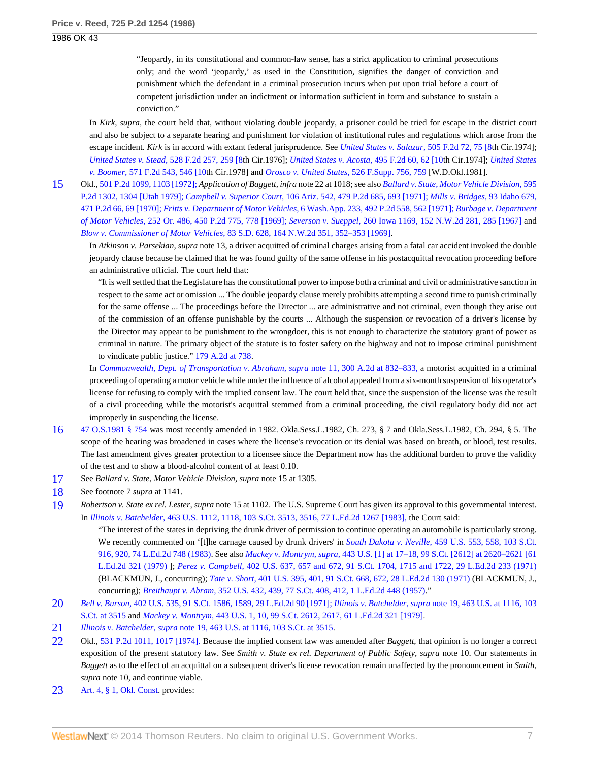"Jeopardy, in its constitutional and common-law sense, has a strict application to criminal prosecutions only; and the word 'jeopardy,' as used in the Constitution, signifies the danger of conviction and punishment which the defendant in a criminal prosecution incurs when put upon trial before a court of competent jurisdiction under an indictment or information sufficient in form and substance to sustain a conviction."

In *Kirk, supra,* the court held that, without violating double jeopardy, a prisoner could be tried for escape in the district court and also be subject to a separate hearing and punishment for violation of institutional rules and regulations which arose from the escape incident. *Kirk* is in accord with extant federal jurisprudence. See *[United States v. Salazar,](http://www.westlaw.com/Link/Document/FullText?findType=Y&serNum=1974112487&pubNum=350&fi=co_pp_sp_350_75&originationContext=document&vr=3.0&rs=cblt1.0&transitionType=DocumentItem&contextData=(sc.Search)#co_pp_sp_350_75)* 505 F.2d 72, 75 [8th Cir.1974]; *[United States v. Stead,](http://www.westlaw.com/Link/Document/FullText?findType=Y&serNum=1975142996&pubNum=350&fi=co_pp_sp_350_259&originationContext=document&vr=3.0&rs=cblt1.0&transitionType=DocumentItem&contextData=(sc.Search)#co_pp_sp_350_259)* 528 F.2d 257, 259 [8th Cir.1976]; *[United States v. Acosta,](http://www.westlaw.com/Link/Document/FullText?findType=Y&serNum=1974110088&pubNum=350&fi=co_pp_sp_350_62&originationContext=document&vr=3.0&rs=cblt1.0&transitionType=DocumentItem&contextData=(sc.Search)#co_pp_sp_350_62)* 495 F.2d 60, 62 [10th Cir.1974]; *[United States](http://www.westlaw.com/Link/Document/FullText?findType=Y&serNum=1978102809&pubNum=350&fi=co_pp_sp_350_546&originationContext=document&vr=3.0&rs=cblt1.0&transitionType=DocumentItem&contextData=(sc.Search)#co_pp_sp_350_546) v. Boomer,* [571 F.2d 543, 546 \[10](http://www.westlaw.com/Link/Document/FullText?findType=Y&serNum=1978102809&pubNum=350&fi=co_pp_sp_350_546&originationContext=document&vr=3.0&rs=cblt1.0&transitionType=DocumentItem&contextData=(sc.Search)#co_pp_sp_350_546)th Cir.1978] and *[Orosco v. United States,](http://www.westlaw.com/Link/Document/FullText?findType=Y&serNum=1981150287&pubNum=345&fi=co_pp_sp_345_759&originationContext=document&vr=3.0&rs=cblt1.0&transitionType=DocumentItem&contextData=(sc.Search)#co_pp_sp_345_759)* 526 F.Supp. 756, 759 [W.D.Okl.1981].

<span id="page-6-0"></span>[15](#page-3-20) Okl., [501 P.2d 1099, 1103 \[1972\];](http://www.westlaw.com/Link/Document/FullText?findType=Y&serNum=1972125868&pubNum=661&fi=co_pp_sp_661_1103&originationContext=document&vr=3.0&rs=cblt1.0&transitionType=DocumentItem&contextData=(sc.Search)#co_pp_sp_661_1103) *Application of Baggett, infra* note 22 at 1018; see also *[Ballard v. State, Motor Vehicle Division,](http://www.westlaw.com/Link/Document/FullText?findType=Y&serNum=1979124386&pubNum=661&originationContext=document&vr=3.0&rs=cblt1.0&transitionType=DocumentItem&contextData=(sc.Search))* 595 [P.2d 1302, 1304 \[Utah 1979\];](http://www.westlaw.com/Link/Document/FullText?findType=Y&serNum=1979124386&pubNum=661&originationContext=document&vr=3.0&rs=cblt1.0&transitionType=DocumentItem&contextData=(sc.Search)) *Campbell v. Superior Court,* [106 Ariz. 542, 479 P.2d 685, 693 \[1971\];](http://www.westlaw.com/Link/Document/FullText?findType=Y&serNum=1971122393&pubNum=661&fi=co_pp_sp_661_693&originationContext=document&vr=3.0&rs=cblt1.0&transitionType=DocumentItem&contextData=(sc.Search)#co_pp_sp_661_693) *[Mills v. Bridges,](http://www.westlaw.com/Link/Document/FullText?findType=Y&serNum=1970131788&pubNum=661&fi=co_pp_sp_661_69&originationContext=document&vr=3.0&rs=cblt1.0&transitionType=DocumentItem&contextData=(sc.Search)#co_pp_sp_661_69)* 93 Idaho 679, [471 P.2d 66, 69 \[1970\];](http://www.westlaw.com/Link/Document/FullText?findType=Y&serNum=1970131788&pubNum=661&fi=co_pp_sp_661_69&originationContext=document&vr=3.0&rs=cblt1.0&transitionType=DocumentItem&contextData=(sc.Search)#co_pp_sp_661_69) *Fritts v. Department of Motor Vehicles,* [6 Wash.App. 233, 492 P.2d 558, 562 \[1971\];](http://www.westlaw.com/Link/Document/FullText?findType=Y&serNum=1971126860&pubNum=661&fi=co_pp_sp_661_562&originationContext=document&vr=3.0&rs=cblt1.0&transitionType=DocumentItem&contextData=(sc.Search)#co_pp_sp_661_562) *[Burbage v. Department](http://www.westlaw.com/Link/Document/FullText?findType=Y&serNum=1969129622&pubNum=661&fi=co_pp_sp_661_778&originationContext=document&vr=3.0&rs=cblt1.0&transitionType=DocumentItem&contextData=(sc.Search)#co_pp_sp_661_778) of Motor Vehicles,* [252 Or. 486, 450 P.2d 775, 778 \[1969\];](http://www.westlaw.com/Link/Document/FullText?findType=Y&serNum=1969129622&pubNum=661&fi=co_pp_sp_661_778&originationContext=document&vr=3.0&rs=cblt1.0&transitionType=DocumentItem&contextData=(sc.Search)#co_pp_sp_661_778) *Severson v. Sueppel,* [260 Iowa 1169, 152 N.W.2d 281, 285 \[1967\]](http://www.westlaw.com/Link/Document/FullText?findType=Y&serNum=1967122555&pubNum=595&fi=co_pp_sp_595_285&originationContext=document&vr=3.0&rs=cblt1.0&transitionType=DocumentItem&contextData=(sc.Search)#co_pp_sp_595_285) and *Blow v. Commissioner of Motor Vehicles,* [83 S.D. 628, 164 N.W.2d 351, 352–353 \[1969\]](http://www.westlaw.com/Link/Document/FullText?findType=Y&serNum=1969124244&pubNum=595&fi=co_pp_sp_595_352&originationContext=document&vr=3.0&rs=cblt1.0&transitionType=DocumentItem&contextData=(sc.Search)#co_pp_sp_595_352).

In *Atkinson v. Parsekian, supra* note 13, a driver acquitted of criminal charges arising from a fatal car accident invoked the double jeopardy clause because he claimed that he was found guilty of the same offense in his postacquittal revocation proceeding before an administrative official. The court held that:

"It is well settled that the Legislature has the constitutional power to impose both a criminal and civil or administrative sanction in respect to the same act or omission ... The double jeopardy clause merely prohibits attempting a second time to punish criminally for the same offense ... The proceedings before the Director ... are administrative and not criminal, even though they arise out of the commission of an offense punishable by the courts ... Although the suspension or revocation of a driver's license by the Director may appear to be punishment to the wrongdoer, this is not enough to characterize the statutory grant of power as criminal in nature. The primary object of the statute is to foster safety on the highway and not to impose criminal punishment to vindicate public justice." [179 A.2d at 738](http://www.westlaw.com/Link/Document/FullText?findType=Y&serNum=1962107354&pubNum=162&fi=co_pp_sp_162_738&originationContext=document&vr=3.0&rs=cblt1.0&transitionType=DocumentItem&contextData=(sc.Search)#co_pp_sp_162_738).

In *[Commonwealth, Dept. of Transportation v. Abraham, supra](http://www.westlaw.com/Link/Document/FullText?findType=Y&serNum=1973100374&pubNum=162&fi=co_pp_sp_162_832&originationContext=document&vr=3.0&rs=cblt1.0&transitionType=DocumentItem&contextData=(sc.Search)#co_pp_sp_162_832)* note 11, 300 A.2d at 832–833, a motorist acquitted in a criminal proceeding of operating a motor vehicle while under the influence of alcohol appealed from a six-month suspension of his operator's license for refusing to comply with the implied consent law. The court held that, since the suspension of the license was the result of a civil proceeding while the motorist's acquittal stemmed from a criminal proceeding, the civil regulatory body did not act improperly in suspending the license.

- <span id="page-6-1"></span>[16](#page-3-21) [47 O.S.1981 § 754](http://www.westlaw.com/Link/Document/FullText?findType=L&pubNum=1000165&cite=OKSTT47S754&originatingDoc=I06512713f3a711d99439b076ef9ec4de&refType=LQ&originationContext=document&vr=3.0&rs=cblt1.0&transitionType=DocumentItem&contextData=(sc.Search)) was most recently amended in 1982. Okla.Sess.L.1982, Ch. 273, § 7 and Okla.Sess.L.1982, Ch. 294, § 5. The scope of the hearing was broadened in cases where the license's revocation or its denial was based on breath, or blood, test results. The last amendment gives greater protection to a licensee since the Department now has the additional burden to prove the validity of the test and to show a blood-alcohol content of at least 0.10.
- <span id="page-6-2"></span>[17](#page-3-22) See *Ballard v. State, Motor Vehicle Division, supra* note 15 at 1305.
- <span id="page-6-3"></span>[18](#page-3-23) See footnote 7 *supra* at 1141.
- <span id="page-6-4"></span>[19](#page-3-24) *Robertson v. State ex rel. Lester, supra* note 15 at 1102. The U.S. Supreme Court has given its approval to this governmental interest. In *Illinois v. Batchelder,* [463 U.S. 1112, 1118, 103 S.Ct. 3513, 3516, 77 L.Ed.2d 1267 \[1983\],](http://www.westlaw.com/Link/Document/FullText?findType=Y&serNum=1983131595&pubNum=708&fi=co_pp_sp_708_3516&originationContext=document&vr=3.0&rs=cblt1.0&transitionType=DocumentItem&contextData=(sc.Search)#co_pp_sp_708_3516) the Court said:

"The interest of the states in depriving the drunk driver of permission to continue operating an automobile is particularly strong. We recently commented on '[t]he carnage caused by drunk drivers' in *South Dakota v. Neville*, [459 U.S. 553, 558, 103 S.Ct.](http://www.westlaw.com/Link/Document/FullText?findType=Y&serNum=1983109207&pubNum=708&fi=co_pp_sp_708_920&originationContext=document&vr=3.0&rs=cblt1.0&transitionType=DocumentItem&contextData=(sc.Search)#co_pp_sp_708_920) [916, 920, 74 L.Ed.2d 748 \(1983\)](http://www.westlaw.com/Link/Document/FullText?findType=Y&serNum=1983109207&pubNum=708&fi=co_pp_sp_708_920&originationContext=document&vr=3.0&rs=cblt1.0&transitionType=DocumentItem&contextData=(sc.Search)#co_pp_sp_708_920). See also *Mackey v. Montrym, supra,* [443 U.S. \[1\] at 17–18, 99 S.Ct. \[2612\] at 2620–2621 \[61](http://www.westlaw.com/Link/Document/FullText?findType=Y&serNum=1979135158&pubNum=708&fi=co_pp_sp_708_2620&originationContext=document&vr=3.0&rs=cblt1.0&transitionType=DocumentItem&contextData=(sc.Search)#co_pp_sp_708_2620) [L.Ed.2d 321 \(1979\)](http://www.westlaw.com/Link/Document/FullText?findType=Y&serNum=1979135158&pubNum=708&fi=co_pp_sp_708_2620&originationContext=document&vr=3.0&rs=cblt1.0&transitionType=DocumentItem&contextData=(sc.Search)#co_pp_sp_708_2620) ]; *Perez v. Campbell,* [402 U.S. 637, 657 and 672, 91 S.Ct. 1704, 1715 and 1722, 29 L.Ed.2d 233 \(1971\)](http://www.westlaw.com/Link/Document/FullText?findType=Y&serNum=1971127077&pubNum=708&fi=co_pp_sp_708_1715&originationContext=document&vr=3.0&rs=cblt1.0&transitionType=DocumentItem&contextData=(sc.Search)#co_pp_sp_708_1715) (BLACKMUN, J., concurring); *Tate v. Short,* [401 U.S. 395, 401, 91 S.Ct. 668, 672, 28 L.Ed.2d 130 \(1971\)](http://www.westlaw.com/Link/Document/FullText?findType=Y&serNum=1971127009&pubNum=708&fi=co_pp_sp_708_672&originationContext=document&vr=3.0&rs=cblt1.0&transitionType=DocumentItem&contextData=(sc.Search)#co_pp_sp_708_672) (BLACKMUN, J., concurring); *Breithaupt v. Abram,* [352 U.S. 432, 439, 77 S.Ct. 408, 412, 1 L.Ed.2d 448 \(1957\)](http://www.westlaw.com/Link/Document/FullText?findType=Y&serNum=1957100479&pubNum=708&fi=co_pp_sp_708_412&originationContext=document&vr=3.0&rs=cblt1.0&transitionType=DocumentItem&contextData=(sc.Search)#co_pp_sp_708_412)."

- <span id="page-6-5"></span>[20](#page-3-25) *Bell v. Burson,* [402 U.S. 535, 91 S.Ct. 1586, 1589, 29 L.Ed.2d 90 \[1971\];](http://www.westlaw.com/Link/Document/FullText?findType=Y&serNum=1971127072&pubNum=708&fi=co_pp_sp_708_1589&originationContext=document&vr=3.0&rs=cblt1.0&transitionType=DocumentItem&contextData=(sc.Search)#co_pp_sp_708_1589) *Illinois v. Batchelder, supra* [note 19, 463 U.S. at 1116, 103](http://www.westlaw.com/Link/Document/FullText?findType=Y&serNum=1983131595&pubNum=708&fi=co_pp_sp_708_3515&originationContext=document&vr=3.0&rs=cblt1.0&transitionType=DocumentItem&contextData=(sc.Search)#co_pp_sp_708_3515) [S.Ct. at 3515](http://www.westlaw.com/Link/Document/FullText?findType=Y&serNum=1983131595&pubNum=708&fi=co_pp_sp_708_3515&originationContext=document&vr=3.0&rs=cblt1.0&transitionType=DocumentItem&contextData=(sc.Search)#co_pp_sp_708_3515) and *Mackey v. Montrym,* [443 U.S. 1, 10, 99 S.Ct. 2612, 2617, 61 L.Ed.2d 321 \[1979\].](http://www.westlaw.com/Link/Document/FullText?findType=Y&serNum=1979135158&pubNum=708&fi=co_pp_sp_708_2617&originationContext=document&vr=3.0&rs=cblt1.0&transitionType=DocumentItem&contextData=(sc.Search)#co_pp_sp_708_2617)
- <span id="page-6-6"></span>[21](#page-3-26) *Illinois v. Batchelder, supra* [note 19, 463 U.S. at 1116, 103 S.Ct. at 3515](http://www.westlaw.com/Link/Document/FullText?findType=Y&serNum=1983131595&pubNum=708&fi=co_pp_sp_708_3515&originationContext=document&vr=3.0&rs=cblt1.0&transitionType=DocumentItem&contextData=(sc.Search)#co_pp_sp_708_3515).
- <span id="page-6-7"></span>[22](#page-3-27) Okl., [531 P.2d 1011, 1017 \[1974\].](http://www.westlaw.com/Link/Document/FullText?findType=Y&serNum=1974127019&pubNum=661&fi=co_pp_sp_661_1017&originationContext=document&vr=3.0&rs=cblt1.0&transitionType=DocumentItem&contextData=(sc.Search)#co_pp_sp_661_1017) Because the implied consent law was amended after *Baggett,* that opinion is no longer a correct exposition of the present statutory law. See *Smith v. State ex rel. Department of Public Safety, supra* note 10. Our statements in *Baggett* as to the effect of an acquittal on a subsequent driver's license revocation remain unaffected by the pronouncement in *Smith, supra* note 10, and continue viable.
- <span id="page-6-8"></span>[23](#page-3-28) [Art. 4, § 1, Okl. Const](http://www.westlaw.com/Link/Document/FullText?findType=L&pubNum=1000165&cite=OKCNART4S1&originatingDoc=I06512713f3a711d99439b076ef9ec4de&refType=LQ&originationContext=document&vr=3.0&rs=cblt1.0&transitionType=DocumentItem&contextData=(sc.Search)). provides: